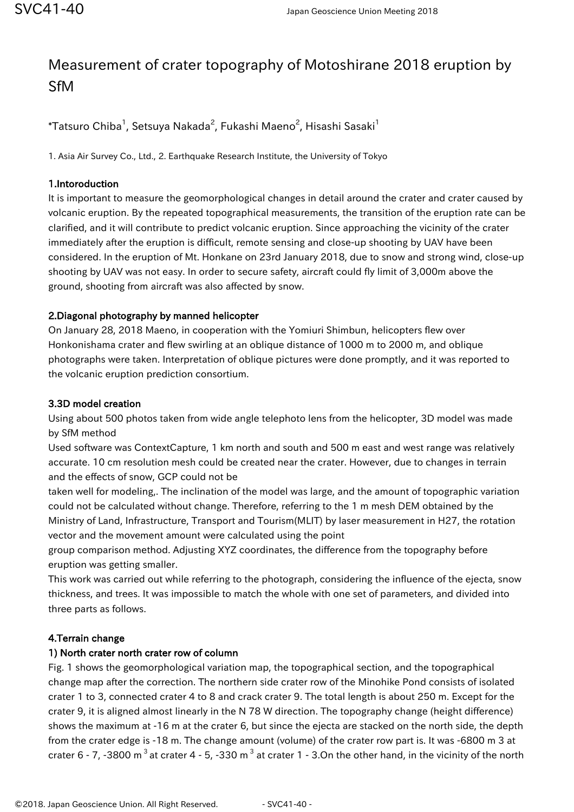# Measurement of crater topography of Motoshirane 2018 eruption by SfM

 $^\ast$ Tatsuro Chiba $^1$ , Setsuya Nakada $^2$ , Fukashi Maeno $^2$ , Hisashi Sasaki $^1$ 

1. Asia Air Survey Co., Ltd., 2. Earthquake Research Institute, the University of Tokyo

### 1.Intoroduction

It is important to measure the geomorphological changes in detail around the crater and crater caused by volcanic eruption. By the repeated topographical measurements, the transition of the eruption rate can be clarified, and it will contribute to predict volcanic eruption. Since approaching the vicinity of the crater immediately after the eruption is difficult, remote sensing and close-up shooting by UAV have been considered. In the eruption of Mt. Honkane on 23rd January 2018, due to snow and strong wind, close-up shooting by UAV was not easy. In order to secure safety, aircraft could fly limit of 3,000m above the ground, shooting from aircraft was also affected by snow.

## 2.Diagonal photography by manned helicopter

On January 28, 2018 Maeno, in cooperation with the Yomiuri Shimbun, helicopters flew over Honkonishama crater and flew swirling at an oblique distance of 1000 m to 2000 m, and oblique photographs were taken. Interpretation of oblique pictures were done promptly, and it was reported to the volcanic eruption prediction consortium.

#### 3.3D model creation

Using about 500 photos taken from wide angle telephoto lens from the helicopter, 3D model was made by SfM method

Used software was ContextCapture, 1 km north and south and 500 m east and west range was relatively accurate. 10 cm resolution mesh could be created near the crater. However, due to changes in terrain and the effects of snow, GCP could not be

taken well for modeling,. The inclination of the model was large, and the amount of topographic variation could not be calculated without change. Therefore, referring to the 1 m mesh DEM obtained by the Ministry of Land, Infrastructure, Transport and Tourism(MLIT) by laser measurement in H27, the rotation vector and the movement amount were calculated using the point

group comparison method. Adjusting XYZ coordinates, the difference from the topography before eruption was getting smaller.

This work was carried out while referring to the photograph, considering the influence of the ejecta, snow thickness, and trees. It was impossible to match the whole with one set of parameters, and divided into three parts as follows.

#### 4.Terrain change

#### 1) North crater north crater row of column

Fig. 1 shows the geomorphological variation map, the topographical section, and the topographical change map after the correction. The northern side crater row of the Minohike Pond consists of isolated crater 1 to 3, connected crater 4 to 8 and crack crater 9. The total length is about 250 m. Except for the crater 9, it is aligned almost linearly in the N 78 W direction. The topography change (height difference) shows the maximum at -16 m at the crater 6, but since the ejecta are stacked on the north side, the depth from the crater edge is -18 m. The change amount (volume) of the crater row part is. It was -6800 m 3 at crater 6 - 7, -3800 m<sup>3</sup> at crater 4 - 5, -330 m<sup>3</sup> at crater 1 - 3.0n the other hand, in the vicinity of the north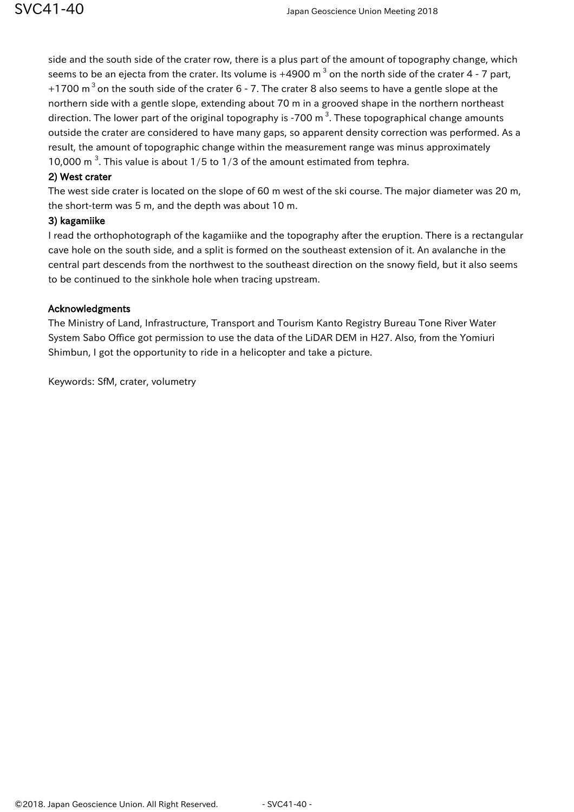side and the south side of the crater row, there is a plus part of the amount of topography change, which seems to be an ejecta from the crater. Its volume is  $+4900 \text{ m}^3$  on the north side of the crater 4 - 7 part, +1700  $m<sup>3</sup>$  on the south side of the crater 6 - 7. The crater 8 also seems to have a gentle slope at the northern side with a gentle slope, extending about 70 m in a grooved shape in the northern northeast direction. The lower part of the original topography is -700  $\text{m}^3$ . These topographical change amounts outside the crater are considered to have many gaps, so apparent density correction was performed. As a result, the amount of topographic change within the measurement range was minus approximately 10,000 m<sup>3</sup>. This value is about  $1/5$  to  $1/3$  of the amount estimated from tephra.

#### 2) West crater

The west side crater is located on the slope of 60 m west of the ski course. The major diameter was 20 m, the short-term was 5 m, and the depth was about 10 m.

#### 3) kagamiike

I read the orthophotograph of the kagamiike and the topography after the eruption. There is a rectangular cave hole on the south side, and a split is formed on the southeast extension of it. An avalanche in the central part descends from the northwest to the southeast direction on the snowy field, but it also seems to be continued to the sinkhole hole when tracing upstream.

#### Acknowledgments

The Ministry of Land, Infrastructure, Transport and Tourism Kanto Registry Bureau Tone River Water System Sabo Office got permission to use the data of the LiDAR DEM in H27. Also, from the Yomiuri Shimbun, I got the opportunity to ride in a helicopter and take a picture.

Keywords: SfM, crater, volumetry